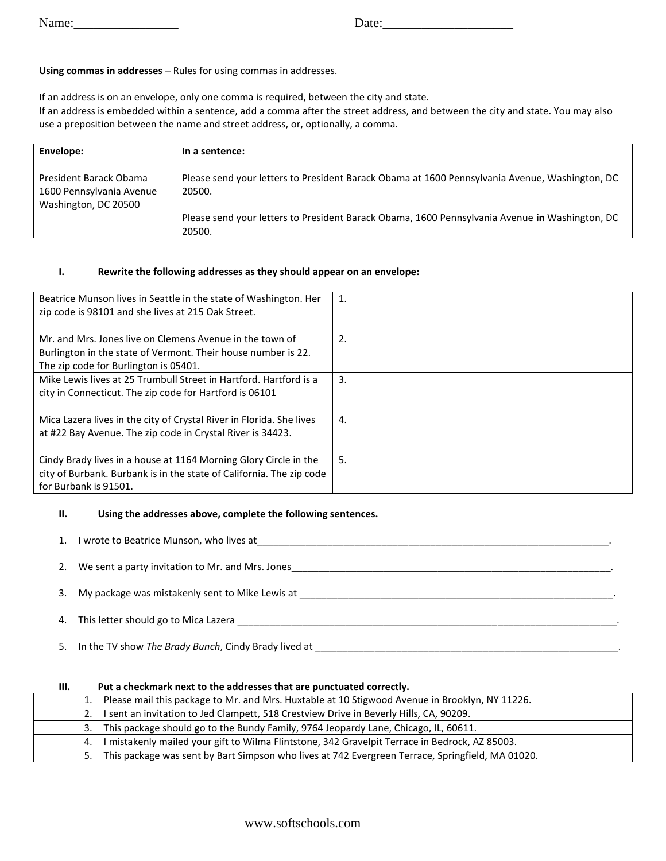Name:\_\_\_\_\_\_\_\_\_\_\_\_\_\_\_\_ Date:\_\_\_\_\_\_\_\_\_\_\_\_\_\_\_\_\_\_\_\_

# **Using commas in addresses** – Rules for using commas in addresses.

If an address is on an envelope, only one comma is required, between the city and state. If an address is embedded within a sentence, add a comma after the street address, and between the city and state. You may also use a preposition between the name and street address, or, optionally, a comma.

| Envelope:                                          | In a sentence:                                                                                           |
|----------------------------------------------------|----------------------------------------------------------------------------------------------------------|
| President Barack Obama<br>1600 Pennsylvania Avenue | Please send your letters to President Barack Obama at 1600 Pennsylvania Avenue, Washington, DC<br>20500. |
| Washington, DC 20500                               | Please send your letters to President Barack Obama, 1600 Pennsylvania Avenue in Washington, DC<br>20500. |

### **I. Rewrite the following addresses as they should appear on an envelope:**

| Beatrice Munson lives in Seattle in the state of Washington. Her<br>zip code is 98101 and she lives at 215 Oak Street. | 1. |
|------------------------------------------------------------------------------------------------------------------------|----|
| Mr. and Mrs. Jones live on Clemens Avenue in the town of                                                               | 2. |
| Burlington in the state of Vermont. Their house number is 22.<br>The zip code for Burlington is 05401.                 |    |
| Mike Lewis lives at 25 Trumbull Street in Hartford. Hartford is a                                                      | 3. |
| city in Connecticut. The zip code for Hartford is 06101                                                                |    |
| Mica Lazera lives in the city of Crystal River in Florida. She lives                                                   | 4. |
| at #22 Bay Avenue. The zip code in Crystal River is 34423.                                                             |    |
| Cindy Brady lives in a house at 1164 Morning Glory Circle in the                                                       | 5. |
| city of Burbank. Burbank is in the state of California. The zip code                                                   |    |
| for Burbank is 91501.                                                                                                  |    |

#### **II. Using the addresses above, complete the following sentences.**

| 1. | I wrote to Beatrice Munson, who lives at            |  |
|----|-----------------------------------------------------|--|
|    | 2. We sent a party invitation to Mr. and Mrs. Jones |  |
|    | 3. My package was mistakenly sent to Mike Lewis at  |  |
| 4. | This letter should go to Mica Lazera                |  |

5. In the TV show *The Brady Bunch*, Cindy Brady lived at

| Ш. | Put a checkmark next to the addresses that are punctuated correctly.                             |
|----|--------------------------------------------------------------------------------------------------|
| 1. | Please mail this package to Mr. and Mrs. Huxtable at 10 Stigwood Avenue in Brooklyn, NY 11226.   |
|    | I sent an invitation to Jed Clampett, 518 Crestview Drive in Beverly Hills, CA, 90209.           |
| 3. | This package should go to the Bundy Family, 9764 Jeopardy Lane, Chicago, IL, 60611.              |
| 4. | I mistakenly mailed your gift to Wilma Flintstone, 342 Gravelpit Terrace in Bedrock, AZ 85003.   |
| 5. | This package was sent by Bart Simpson who lives at 742 Evergreen Terrace, Springfield, MA 01020. |